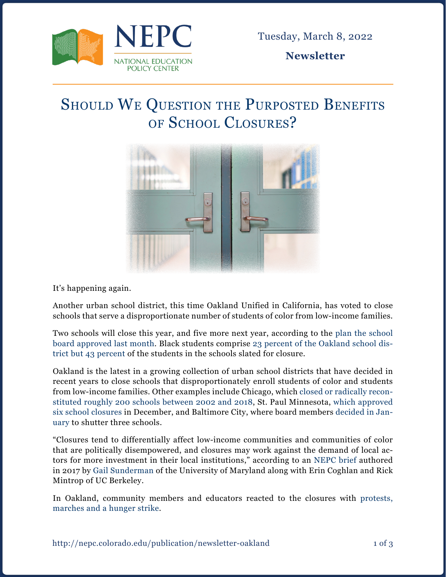

Tuesday, March 8, 2022

**Newsletter**

## SHOULD WE QUESTION THE PURPOSTED BENEFITS of School Closures?



It's happening again.

Another urban school district, this time Oakland Unified in California, has voted to close schools that serve a disproportionate number of students of color from low-income families.

Two schools will close this year, and five more next year, according to the [plan the school](https://oaklandside.org/2022/02/09/oakland-school-board-votes-to-close-seven-schools-over-the-next-two-years/) [board approved last month](https://oaklandside.org/2022/02/09/oakland-school-board-votes-to-close-seven-schools-over-the-next-two-years/). Black students comprise [23 percent of the Oakland school dis](https://time.com/5885106/school-reopening-coronavirus/)[trict but 43 percent](https://time.com/5885106/school-reopening-coronavirus/) of the students in the schools slated for closure.

Oakland is the latest in a growing collection of urban school districts that have decided in recent years to close schools that disproportionately enroll students of color and students from low-income families. Other examples include Chicago, which [closed or radically recon](https://interactive.wbez.org/generation-school-closings/)[stituted roughly 200 schools between 2002 and 2018](https://interactive.wbez.org/generation-school-closings/), St. Paul Minnesota, [which approved](https://minnesota.cbslocal.com/2021/12/01/st-paul-school-closures/) [six school closures](https://minnesota.cbslocal.com/2021/12/01/st-paul-school-closures/) in December, and Baltimore City, where board members [decided in Jan](https://www.baltimoresun.com/education/bs-md-school-board-vote-school-closure-20220126-tixq2fuicrhpdb7txzjvsf4tau-story.html)[uary](https://www.baltimoresun.com/education/bs-md-school-board-vote-school-closure-20220126-tixq2fuicrhpdb7txzjvsf4tau-story.html) to shutter three schools.

"Closures tend to differentially affect low-income communities and communities of color that are politically disempowered, and closures may work against the demand of local actors for more investment in their local institutions," according to an [NEPC brief](https://nepc.colorado.edu/sites/default/files/publications/PB%20Sunderman-Coghlan-Mintrop%20Closures.pdf) authored in 2017 by [Gail Sunderman](https://nepc.colorado.edu/author/sunderman-gail-l) of the University of Maryland along with Erin Coghlan and Rick Mintrop of UC Berkeley.

In Oakland, community members and educators reacted to the closures with [protests,](https://oaklandside.org/2022/02/09/oakland-school-board-votes-to-close-seven-schools-over-the-next-two-years/) [marches and a hunger strike](https://oaklandside.org/2022/02/09/oakland-school-board-votes-to-close-seven-schools-over-the-next-two-years/).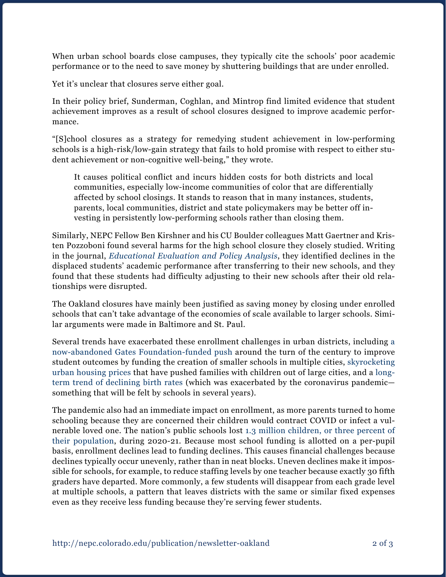When urban school boards close campuses, they typically cite the schools' poor academic performance or to the need to save money by shuttering buildings that are under enrolled.

Yet it's unclear that closures serve either goal.

In their policy brief, Sunderman, Coghlan, and Mintrop find limited evidence that student achievement improves as a result of school closures designed to improve academic performance.

"[S]chool closures as a strategy for remedying student achievement in low-performing schools is a high-risk/low-gain strategy that fails to hold promise with respect to either student achievement or non-cognitive well-being," they wrote.

It causes political conflict and incurs hidden costs for both districts and local communities, especially low-income communities of color that are differentially affected by school closings. It stands to reason that in many instances, students, parents, local communities, district and state policymakers may be better off investing in persistently low-performing schools rather than closing them.

Similarly, NEPC Fellow Ben Kirshner and his CU Boulder colleagues Matt Gaertner and Kristen Pozzoboni found several harms for the high school closure they closely studied. Writing in the journal, *[Educational Evaluation and Policy Analysis](https://journals.sagepub.com/doi/full/10.3102/0162373710376823)*, they identified declines in the displaced students' academic performance after transferring to their new schools, and they found that these students had difficulty adjusting to their new schools after their old relationships were disrupted.

The Oakland closures have mainly been justified as saving money by closing under enrolled schools that can't take advantage of the economies of scale available to larger schools. Similar arguments were made in Baltimore and St. Paul.

Several trends have exacerbated these enrollment challenges in urban districts, including [a](https://www.washingtonpost.com/news/answer-sheet/wp/2014/06/09/how-much-bill-gatess-disappointing-small-schools-effort-really-cost/) [now-abandoned Gates Foundation-funded push](https://www.washingtonpost.com/news/answer-sheet/wp/2014/06/09/how-much-bill-gatess-disappointing-small-schools-effort-really-cost/) around the turn of the century to improve student outcomes by funding the creation of smaller schools in multiple cities, [skyrocketing](https://www.huduser.gov/portal/sites/default/files/pdf/displacementreport.pdf) [urban housing prices](https://www.huduser.gov/portal/sites/default/files/pdf/displacementreport.pdf) that have pushed families with children out of large cities, and a [long](https://www.census.gov/library/stories/2021/09/united-states-births-declined-during-the-pandemic.html#:~:text=The number of U.S. births has been declining every year,on average 0.96%25 a year.)[term trend of declining birth rates](https://www.census.gov/library/stories/2021/09/united-states-births-declined-during-the-pandemic.html#:~:text=The number of U.S. births has been declining every year,on average 0.96%25 a year.) (which was exacerbated by the coronavirus pandemic something that will be felt by schools in several years).

The pandemic also had an immediate impact on enrollment, as more parents turned to home schooling because they are concerned their children would contract COVID or infect a vulnerable loved one. The nation's public schools lost [1.3 million children, or three percent of](https://www.edweek.org/leadership/more-than-1-million-students-didnt-enroll-during-the-pandemic-will-they-come-back/2021/06#:~:text=America) [their population,](https://www.edweek.org/leadership/more-than-1-million-students-didnt-enroll-during-the-pandemic-will-they-come-back/2021/06#:~:text=America) during 2020-21. Because most school funding is allotted on a per-pupil basis, enrollment declines lead to funding declines. This causes financial challenges because declines typically occur unevenly, rather than in neat blocks. Uneven declines make it impossible for schools, for example, to reduce staffing levels by one teacher because exactly 30 fifth graders have departed. More commonly, a few students will disappear from each grade level at multiple schools, a pattern that leaves districts with the same or similar fixed expenses even as they receive less funding because they're serving fewer students.